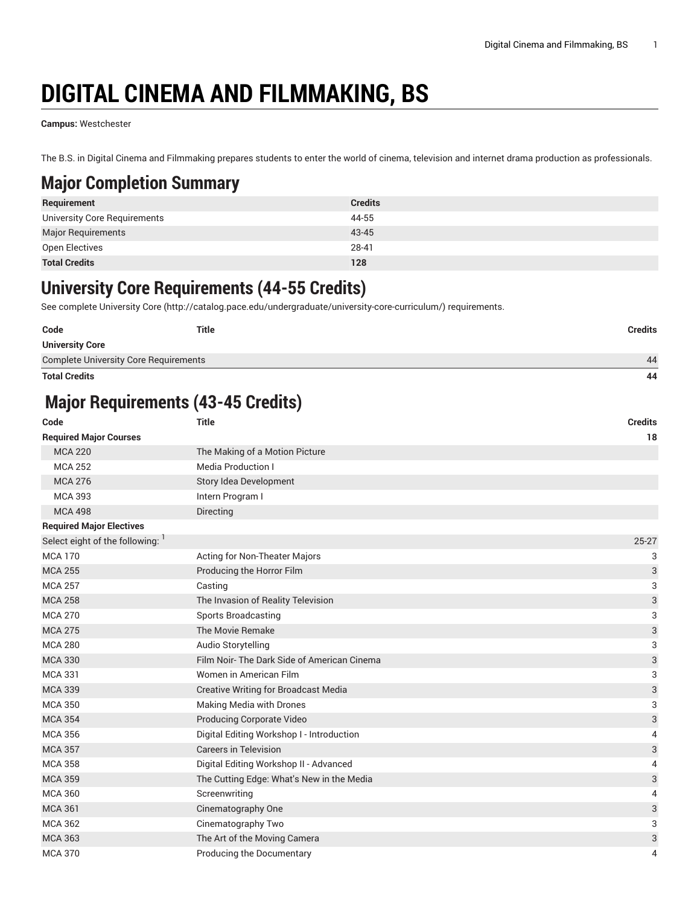# **DIGITAL CINEMA AND FILMMAKING, BS**

**Campus:** Westchester

The B.S. in Digital Cinema and Filmmaking prepares students to enter the world of cinema, television and internet drama production as professionals.

### **Major Completion Summary**

| Requirement                  | <b>Credits</b> |
|------------------------------|----------------|
| University Core Requirements | 44-55          |
| Major Requirements           | 43-45          |
| Open Electives               | 28-41          |
| <b>Total Credits</b>         | 128            |

#### **University Core Requirements (44-55 Credits)**

See complete [University](http://catalog.pace.edu/undergraduate/university-core-curriculum/) Core (<http://catalog.pace.edu/undergraduate/university-core-curriculum/>) requirements.

| Code                                         | Title | <b>Credits</b> |
|----------------------------------------------|-------|----------------|
| <b>University Core</b>                       |       |                |
| <b>Complete University Core Requirements</b> |       | 44             |
|                                              |       |                |

**Total Credits 44**

## **Major Requirements (43-45 Credits)**

| Code                            | <b>Title</b>                                | <b>Credits</b>            |
|---------------------------------|---------------------------------------------|---------------------------|
| <b>Required Major Courses</b>   |                                             | 18                        |
| <b>MCA 220</b>                  | The Making of a Motion Picture              |                           |
| <b>MCA 252</b>                  | <b>Media Production I</b>                   |                           |
| <b>MCA 276</b>                  | Story Idea Development                      |                           |
| <b>MCA 393</b>                  | Intern Program I                            |                           |
| <b>MCA 498</b>                  | Directing                                   |                           |
| <b>Required Major Electives</b> |                                             |                           |
| Select eight of the following:  |                                             | $25 - 27$                 |
| <b>MCA 170</b>                  | Acting for Non-Theater Majors               | 3                         |
| <b>MCA 255</b>                  | Producing the Horror Film                   | $\ensuremath{\mathsf{3}}$ |
| <b>MCA 257</b>                  | Casting                                     | 3                         |
| <b>MCA 258</b>                  | The Invasion of Reality Television          | 3                         |
| <b>MCA 270</b>                  | <b>Sports Broadcasting</b>                  | 3                         |
| <b>MCA 275</b>                  | The Movie Remake                            | 3                         |
| <b>MCA 280</b>                  | Audio Storytelling                          | 3                         |
| <b>MCA 330</b>                  | Film Noir-The Dark Side of American Cinema  | 3                         |
| <b>MCA 331</b>                  | Women in American Film                      | 3                         |
| <b>MCA 339</b>                  | <b>Creative Writing for Broadcast Media</b> | 3                         |
| <b>MCA 350</b>                  | Making Media with Drones                    | 3                         |
| <b>MCA 354</b>                  | Producing Corporate Video                   | 3                         |
| <b>MCA 356</b>                  | Digital Editing Workshop I - Introduction   | 4                         |
| <b>MCA 357</b>                  | <b>Careers in Television</b>                | 3                         |
| <b>MCA 358</b>                  | Digital Editing Workshop II - Advanced      | 4                         |
| <b>MCA 359</b>                  | The Cutting Edge: What's New in the Media   | 3                         |
| <b>MCA 360</b>                  | Screenwriting                               | 4                         |
| <b>MCA 361</b>                  | Cinematography One                          | 3                         |
| <b>MCA 362</b>                  | Cinematography Two                          | 3                         |
| <b>MCA 363</b>                  | The Art of the Moving Camera                | 3                         |
| <b>MCA 370</b>                  | <b>Producing the Documentary</b>            | 4                         |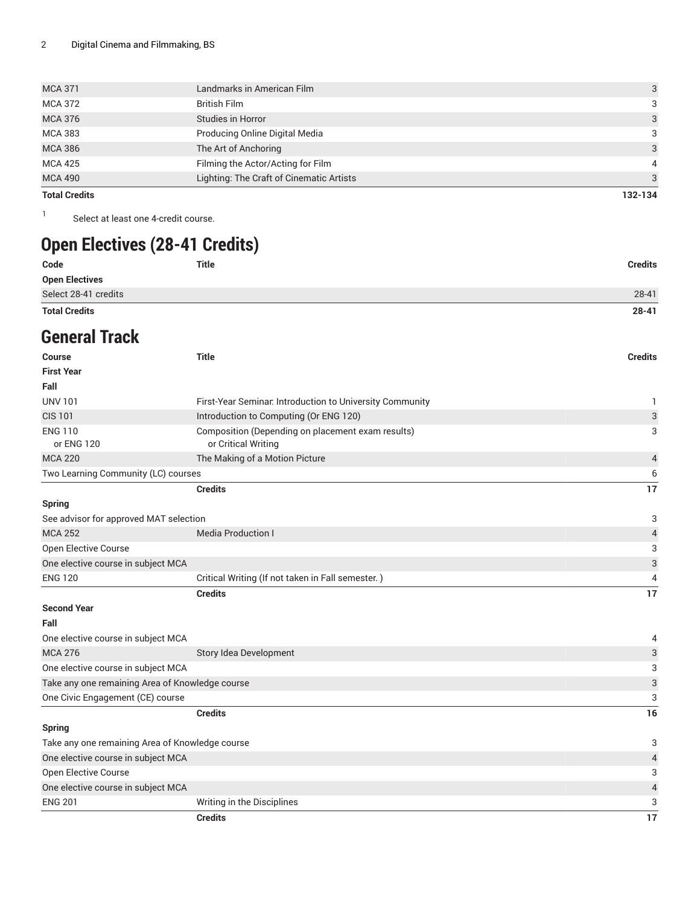| <b>Total Credits</b> |                                          | 132-134       |
|----------------------|------------------------------------------|---------------|
| <b>MCA 490</b>       | Lighting: The Craft of Cinematic Artists | $\mathcal{R}$ |
| <b>MCA 425</b>       | Filming the Actor/Acting for Film        | 4             |
| <b>MCA 386</b>       | The Art of Anchoring                     | 3             |
| <b>MCA 383</b>       | Producing Online Digital Media           | 3             |
| <b>MCA 376</b>       | Studies in Horror                        | 3             |
| <b>MCA 372</b>       | <b>British Film</b>                      | 3             |
| <b>MCA 371</b>       | Landmarks in American Film               | 3             |
|                      |                                          |               |

1

Select at least one 4-credit course.

# **Open Electives (28-41 Credits)**

| <b>Total Credits</b>  |              | $28 - 41$      |
|-----------------------|--------------|----------------|
| Select 28-41 credits  |              | 28-41          |
| <b>Open Electives</b> |              |                |
| Code                  | <b>Title</b> | <b>Credits</b> |

#### **General Track**

| <b>Course</b>                                   | <b>Title</b>                                                             | <b>Credits</b>            |
|-------------------------------------------------|--------------------------------------------------------------------------|---------------------------|
| <b>First Year</b>                               |                                                                          |                           |
| Fall                                            |                                                                          |                           |
| <b>UNV 101</b>                                  | First-Year Seminar. Introduction to University Community                 | 1                         |
| <b>CIS 101</b>                                  | Introduction to Computing (Or ENG 120)                                   | 3                         |
| <b>ENG 110</b><br>or ENG 120                    | Composition (Depending on placement exam results)<br>or Critical Writing | 3                         |
| <b>MCA 220</b>                                  | The Making of a Motion Picture                                           | 4                         |
| Two Learning Community (LC) courses             |                                                                          | 6                         |
|                                                 | <b>Credits</b>                                                           | 17                        |
| <b>Spring</b>                                   |                                                                          |                           |
| See advisor for approved MAT selection          |                                                                          | 3                         |
| <b>MCA 252</b>                                  | <b>Media Production I</b>                                                | 4                         |
| Open Elective Course                            |                                                                          | 3                         |
| One elective course in subject MCA              |                                                                          | $\ensuremath{\mathsf{3}}$ |
| <b>ENG 120</b>                                  | Critical Writing (If not taken in Fall semester.)                        | 4                         |
|                                                 | <b>Credits</b>                                                           | 17                        |
| <b>Second Year</b>                              |                                                                          |                           |
| Fall                                            |                                                                          |                           |
| One elective course in subject MCA              |                                                                          | 4                         |
| <b>MCA 276</b>                                  | Story Idea Development                                                   | 3                         |
| One elective course in subject MCA              |                                                                          | 3                         |
| Take any one remaining Area of Knowledge course |                                                                          | 3                         |
| One Civic Engagement (CE) course                |                                                                          | 3                         |
|                                                 | <b>Credits</b>                                                           | 16                        |
| <b>Spring</b>                                   |                                                                          |                           |
| Take any one remaining Area of Knowledge course |                                                                          | 3                         |
| One elective course in subject MCA              |                                                                          | $\sqrt{4}$                |
| Open Elective Course                            |                                                                          | 3                         |
| One elective course in subject MCA              |                                                                          | 4                         |
| <b>ENG 201</b>                                  | Writing in the Disciplines                                               | 3                         |
|                                                 | <b>Credits</b>                                                           | 17                        |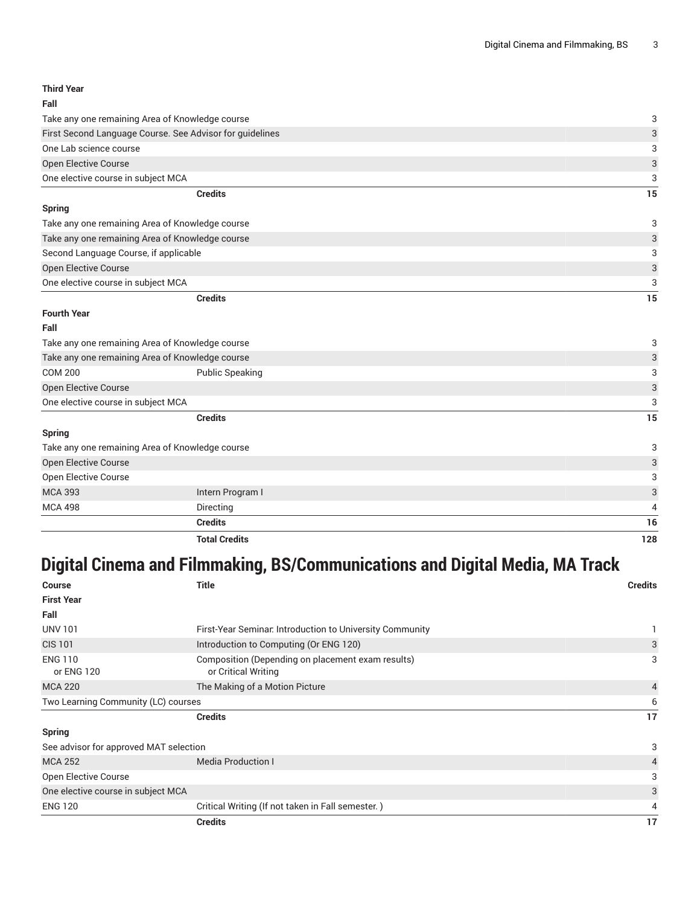**Third Year Fall**

| Take any one remaining Area of Knowledge course          |                                                                                                                                                                                                                                                                                                                 |
|----------------------------------------------------------|-----------------------------------------------------------------------------------------------------------------------------------------------------------------------------------------------------------------------------------------------------------------------------------------------------------------|
| First Second Language Course. See Advisor for guidelines |                                                                                                                                                                                                                                                                                                                 |
|                                                          | 3                                                                                                                                                                                                                                                                                                               |
|                                                          | $\ensuremath{\mathsf{3}}$                                                                                                                                                                                                                                                                                       |
|                                                          | 3                                                                                                                                                                                                                                                                                                               |
|                                                          | 15                                                                                                                                                                                                                                                                                                              |
|                                                          |                                                                                                                                                                                                                                                                                                                 |
|                                                          | 3                                                                                                                                                                                                                                                                                                               |
|                                                          | $\ensuremath{\mathsf{3}}$                                                                                                                                                                                                                                                                                       |
|                                                          | 3                                                                                                                                                                                                                                                                                                               |
| Open Elective Course                                     |                                                                                                                                                                                                                                                                                                                 |
|                                                          | 3                                                                                                                                                                                                                                                                                                               |
|                                                          | 15                                                                                                                                                                                                                                                                                                              |
|                                                          |                                                                                                                                                                                                                                                                                                                 |
|                                                          |                                                                                                                                                                                                                                                                                                                 |
| Take any one remaining Area of Knowledge course          |                                                                                                                                                                                                                                                                                                                 |
|                                                          | 3                                                                                                                                                                                                                                                                                                               |
|                                                          | 3                                                                                                                                                                                                                                                                                                               |
|                                                          | 3                                                                                                                                                                                                                                                                                                               |
|                                                          | 3                                                                                                                                                                                                                                                                                                               |
|                                                          | 15                                                                                                                                                                                                                                                                                                              |
|                                                          |                                                                                                                                                                                                                                                                                                                 |
| Take any one remaining Area of Knowledge course          |                                                                                                                                                                                                                                                                                                                 |
|                                                          | 3                                                                                                                                                                                                                                                                                                               |
|                                                          | 3                                                                                                                                                                                                                                                                                                               |
|                                                          | 3                                                                                                                                                                                                                                                                                                               |
|                                                          | 4                                                                                                                                                                                                                                                                                                               |
|                                                          | <b>Credits</b><br>Take any one remaining Area of Knowledge course<br>Take any one remaining Area of Knowledge course<br>Second Language Course, if applicable<br><b>Credits</b><br>Take any one remaining Area of Knowledge course<br><b>Public Speaking</b><br><b>Credits</b><br>Intern Program I<br>Directing |

**Total Credits 128**

## **Digital Cinema and Filmmaking, BS/Communications and Digital Media, MA Track**

**Credits 16**

| <b>Course</b>                          | <b>Title</b>                                                             | <b>Credits</b> |
|----------------------------------------|--------------------------------------------------------------------------|----------------|
| <b>First Year</b>                      |                                                                          |                |
| Fall                                   |                                                                          |                |
| <b>UNV 101</b>                         | First-Year Seminar. Introduction to University Community                 |                |
| <b>CIS 101</b>                         | Introduction to Computing (Or ENG 120)                                   | 3              |
| <b>ENG 110</b><br>or ENG 120           | Composition (Depending on placement exam results)<br>or Critical Writing | 3              |
| <b>MCA 220</b>                         | The Making of a Motion Picture                                           | 4              |
| Two Learning Community (LC) courses    |                                                                          | 6              |
|                                        | <b>Credits</b>                                                           | 17             |
| <b>Spring</b>                          |                                                                          |                |
| See advisor for approved MAT selection |                                                                          | 3              |
| <b>MCA 252</b>                         | <b>Media Production I</b>                                                | 4              |
| Open Elective Course                   |                                                                          | 3              |
| One elective course in subject MCA     |                                                                          | 3              |
| <b>ENG 120</b>                         | Critical Writing (If not taken in Fall semester.)                        | 4              |
|                                        | <b>Credits</b>                                                           | 17             |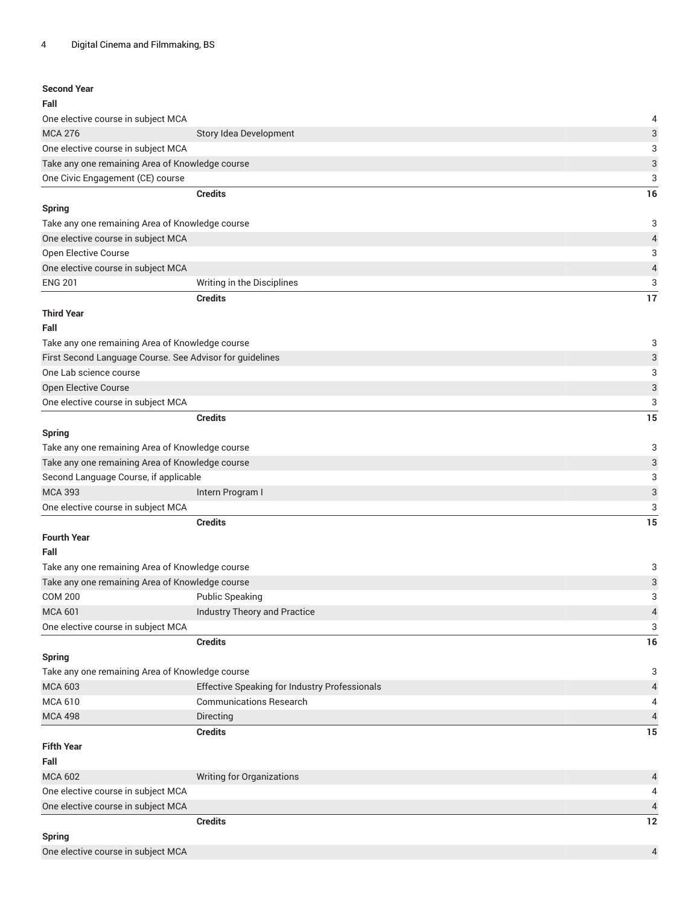| <b>Second Year</b>                                       |                                               |                           |
|----------------------------------------------------------|-----------------------------------------------|---------------------------|
| Fall                                                     |                                               |                           |
| One elective course in subject MCA                       |                                               | 4                         |
| <b>MCA 276</b>                                           | Story Idea Development                        | $\sqrt{3}$                |
| One elective course in subject MCA                       |                                               | 3                         |
| Take any one remaining Area of Knowledge course          |                                               | 3                         |
| One Civic Engagement (CE) course                         |                                               | 3                         |
|                                                          | <b>Credits</b>                                | 16                        |
| <b>Spring</b>                                            |                                               |                           |
| Take any one remaining Area of Knowledge course          |                                               | 3                         |
| One elective course in subject MCA                       |                                               | $\overline{a}$            |
| Open Elective Course                                     |                                               | 3                         |
| One elective course in subject MCA                       |                                               | $\overline{\mathcal{L}}$  |
| <b>ENG 201</b>                                           | Writing in the Disciplines                    | 3                         |
|                                                          | <b>Credits</b>                                | 17                        |
| <b>Third Year</b>                                        |                                               |                           |
| Fall                                                     |                                               |                           |
|                                                          |                                               |                           |
| Take any one remaining Area of Knowledge course          |                                               | 3                         |
| First Second Language Course. See Advisor for guidelines |                                               | 3                         |
| One Lab science course                                   |                                               | 3                         |
| Open Elective Course                                     |                                               | $\ensuremath{\mathsf{3}}$ |
| One elective course in subject MCA                       |                                               | 3                         |
|                                                          | <b>Credits</b>                                | 15                        |
| <b>Spring</b>                                            |                                               |                           |
| Take any one remaining Area of Knowledge course          |                                               | 3                         |
| Take any one remaining Area of Knowledge course          |                                               | $\ensuremath{\mathsf{3}}$ |
| Second Language Course, if applicable                    |                                               | 3                         |
| <b>MCA 393</b>                                           | Intern Program I                              | $\ensuremath{\mathsf{3}}$ |
| One elective course in subject MCA                       |                                               | 3                         |
|                                                          | <b>Credits</b>                                | 15                        |
| <b>Fourth Year</b>                                       |                                               |                           |
| Fall                                                     |                                               |                           |
| Take any one remaining Area of Knowledge course          |                                               | 3                         |
| Take any one remaining Area of Knowledge course          |                                               | 3                         |
| <b>COM 200</b>                                           | <b>Public Speaking</b>                        | 3                         |
| <b>MCA 601</b>                                           | Industry Theory and Practice                  | $\overline{\mathcal{L}}$  |
| One elective course in subject MCA                       |                                               | 3                         |
|                                                          | <b>Credits</b>                                | 16                        |
| <b>Spring</b>                                            |                                               |                           |
| Take any one remaining Area of Knowledge course          |                                               | 3                         |
| <b>MCA 603</b>                                           | Effective Speaking for Industry Professionals | $\overline{4}$            |
| <b>MCA 610</b>                                           | <b>Communications Research</b>                | 4                         |
| <b>MCA 498</b>                                           | Directing                                     | $\sqrt{4}$                |
|                                                          | <b>Credits</b>                                | 15                        |
| <b>Fifth Year</b>                                        |                                               |                           |
| Fall                                                     |                                               |                           |
| <b>MCA 602</b>                                           | <b>Writing for Organizations</b>              | 4                         |
| One elective course in subject MCA                       |                                               | 4                         |
| One elective course in subject MCA                       |                                               | $\overline{4}$            |
|                                                          | <b>Credits</b>                                | 12                        |
| <b>Spring</b>                                            |                                               |                           |
| One elective course in subject MCA                       |                                               | $\overline{4}$            |